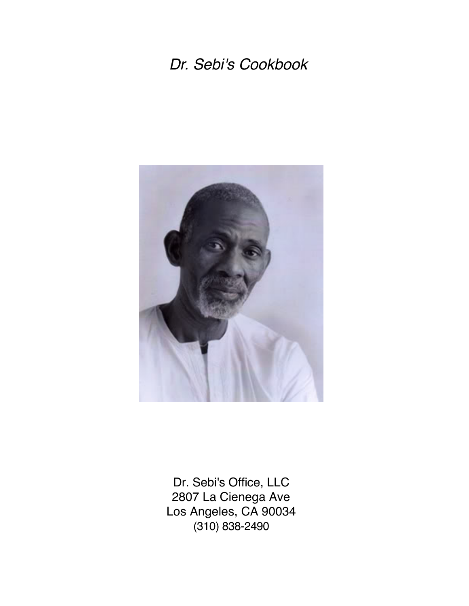# *Dr. Sebi's Cookbook*



Dr. Sebi's Office, LLC 2807 La Cienega Ave Los Angeles, CA 90034 (310) 838-2490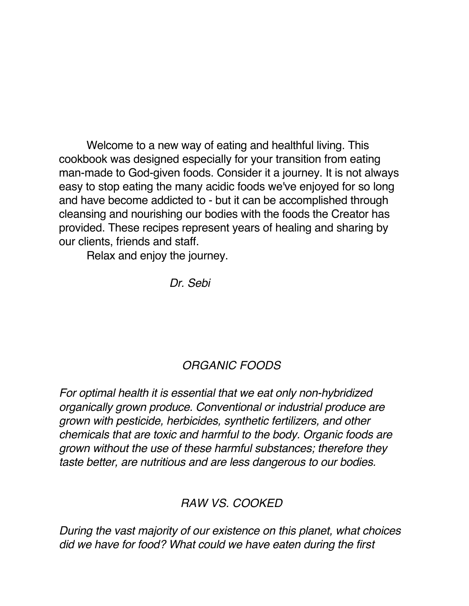Welcome to a new way of eating and healthful living. This cookbook was designed especially for your transition from eating man-made to God-given foods. Consider it a journey. It is not always easy to stop eating the many acidic foods we've enjoyed for so long and have become addicted to - but it can be accomplished through cleansing and nourishing our bodies with the foods the Creator has provided. These recipes represent years of healing and sharing by our clients, friends and staff.

Relax and enjoy the journey.

*Dr. Sebi*

## *ORGANIC FOODS*

*For optimal health it is essential that we eat only non-hybridized organically grown produce. Conventional or industrial produce are grown with pesticide, herbicides, synthetic fertilizers, and other chemicals that are toxic and harmful to the body. Organic foods are grown without the use of these harmful substances; therefore they taste better, are nutritious and are less dangerous to our bodies.* 

#### *RAW VS. COOKED*

*During the vast majority of our existence on this planet, what choices did we have for food? What could we have eaten during the first*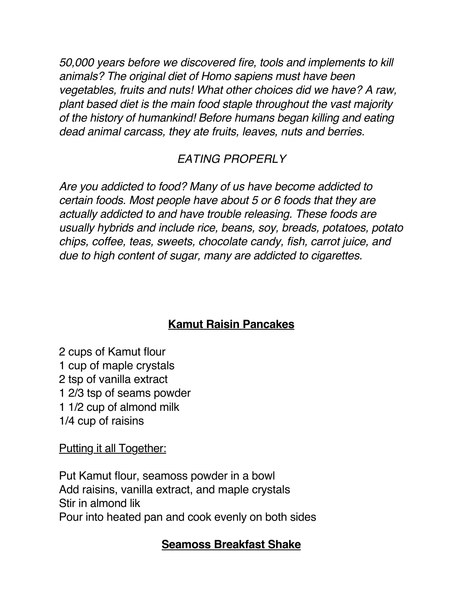*50,000 years before we discovered fire, tools and implements to kill animals? The original diet of Homo sapiens must have been vegetables, fruits and nuts! What other choices did we have? A raw, plant based diet is the main food staple throughout the vast majority of the history of humankind! Before humans began killing and eating dead animal carcass, they ate fruits, leaves, nuts and berries.* 

# *EATING PROPERLY*

*Are you addicted to food? Many of us have become addicted to certain foods. Most people have about 5 or 6 foods that they are actually addicted to and have trouble releasing. These foods are usually hybrids and include rice, beans, soy, breads, potatoes, potato chips, coffee, teas, sweets, chocolate candy, fish, carrot juice, and due to high content of sugar, many are addicted to cigarettes.* 

# **Kamut Raisin Pancakes**

2 cups of Kamut flour 1 cup of maple crystals 2 tsp of vanilla extract 1 2/3 tsp of seams powder 1 1/2 cup of almond milk 1/4 cup of raisins

Putting it all Together:

Put Kamut flour, seamoss powder in a bowl Add raisins, vanilla extract, and maple crystals Stir in almond lik Pour into heated pan and cook evenly on both sides

#### **Seamoss Breakfast Shake**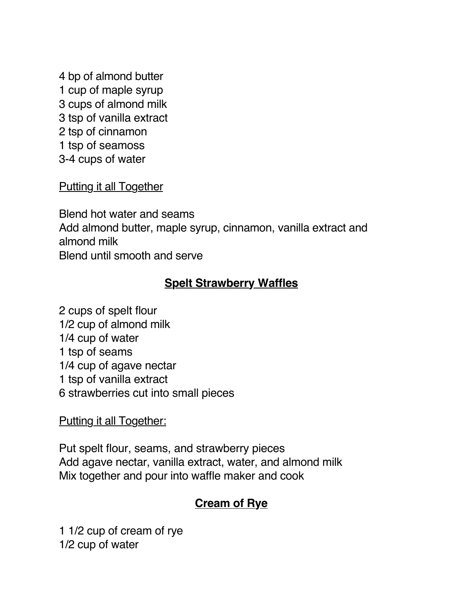4 bp of almond butter 1 cup of maple syrup 3 cups of almond milk 3 tsp of vanilla extract 2 tsp of cinnamon 1 tsp of seamoss 3-4 cups of water

**Putting it all Together** 

Blend hot water and seams Add almond butter, maple syrup, cinnamon, vanilla extract and almond milk Blend until smooth and serve

## **Spelt Strawberry Waffles**

2 cups of spelt flour 1/2 cup of almond milk 1/4 cup of water 1 tsp of seams 1/4 cup of agave nectar 1 tsp of vanilla extract 6 strawberries cut into small pieces

#### Putting it all Together:

Put spelt flour, seams, and strawberry pieces Add agave nectar, vanilla extract, water, and almond milk Mix together and pour into waffle maker and cook

## **Cream of Rye**

1 1/2 cup of cream of rye 1/2 cup of water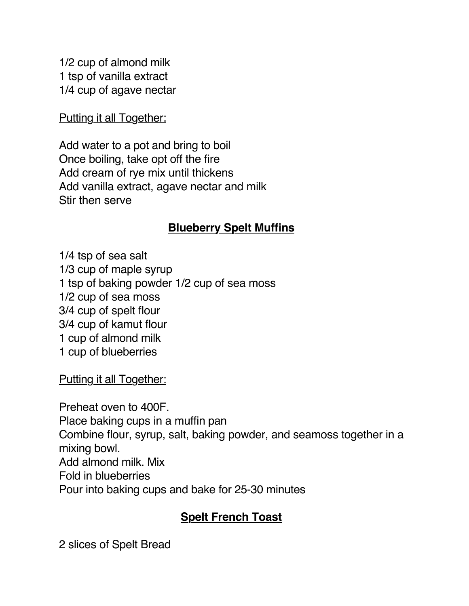1/2 cup of almond milk 1 tsp of vanilla extract 1/4 cup of agave nectar

Putting it all Together:

Add water to a pot and bring to boil Once boiling, take opt off the fire Add cream of rye mix until thickens Add vanilla extract, agave nectar and milk Stir then serve

#### **Blueberry Spelt Muffins**

1/4 tsp of sea salt 1/3 cup of maple syrup 1 tsp of baking powder 1/2 cup of sea moss 1/2 cup of sea moss 3/4 cup of spelt flour 3/4 cup of kamut flour 1 cup of almond milk 1 cup of blueberries

Putting it all Together:

Preheat oven to 400F. Place baking cups in a muffin pan Combine flour, syrup, salt, baking powder, and seamoss together in a mixing bowl. Add almond milk. Mix Fold in blueberries Pour into baking cups and bake for 25-30 minutes

## **Spelt French Toast**

2 slices of Spelt Bread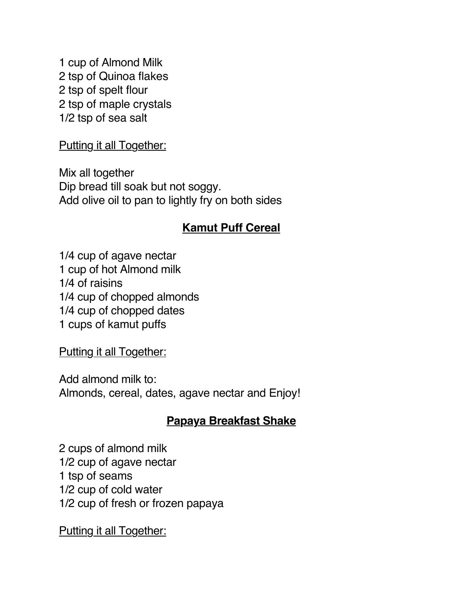1 cup of Almond Milk 2 tsp of Quinoa flakes 2 tsp of spelt flour 2 tsp of maple crystals 1/2 tsp of sea salt

Putting it all Together:

Mix all together Dip bread till soak but not soggy. Add olive oil to pan to lightly fry on both sides

#### **Kamut Puff Cereal**

1/4 cup of agave nectar 1 cup of hot Almond milk 1/4 of raisins 1/4 cup of chopped almonds 1/4 cup of chopped dates 1 cups of kamut puffs

Putting it all Together:

Add almond milk to: Almonds, cereal, dates, agave nectar and Enjoy!

## **Papaya Breakfast Shake**

2 cups of almond milk 1/2 cup of agave nectar 1 tsp of seams 1/2 cup of cold water 1/2 cup of fresh or frozen papaya

Putting it all Together: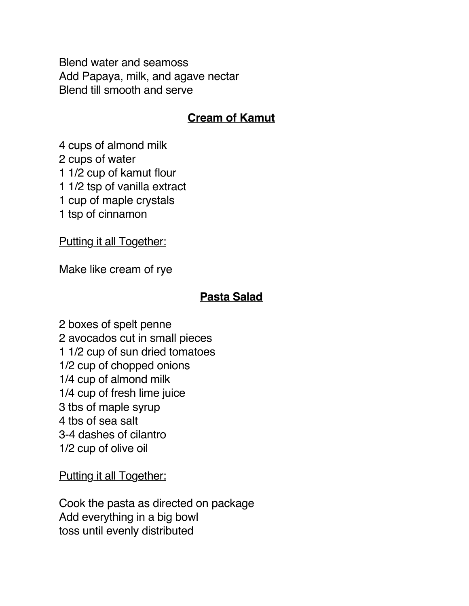Blend water and seamoss Add Papaya, milk, and agave nectar Blend till smooth and serve

#### **Cream of Kamut**

4 cups of almond milk

2 cups of water

1 1/2 cup of kamut flour

1 1/2 tsp of vanilla extract

1 cup of maple crystals

1 tsp of cinnamon

Putting it all Together:

Make like cream of rye

#### **Pasta Salad**

2 boxes of spelt penne 2 avocados cut in small pieces 1 1/2 cup of sun dried tomatoes 1/2 cup of chopped onions 1/4 cup of almond milk 1/4 cup of fresh lime juice 3 tbs of maple syrup 4 tbs of sea salt 3-4 dashes of cilantro 1/2 cup of olive oil

Putting it all Together:

Cook the pasta as directed on package Add everything in a big bowl toss until evenly distributed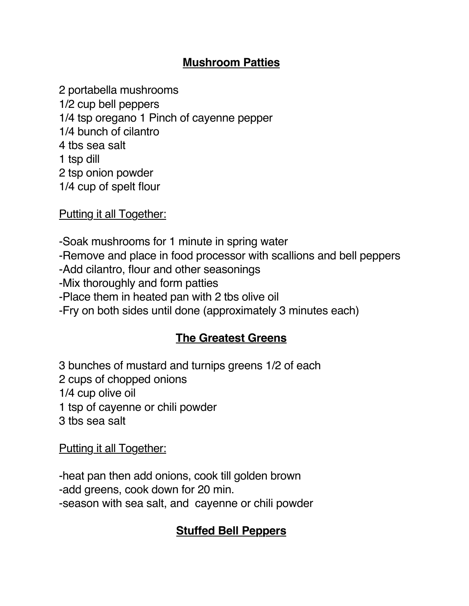#### **Mushroom Patties**

2 portabella mushrooms 1/2 cup bell peppers 1/4 tsp oregano 1 Pinch of cayenne pepper 1/4 bunch of cilantro 4 tbs sea salt 1 tsp dill 2 tsp onion powder 1/4 cup of spelt flour

Putting it all Together:

-Soak mushrooms for 1 minute in spring water

-Remove and place in food processor with scallions and bell peppers

-Add cilantro, flour and other seasonings

-Mix thoroughly and form patties

-Place them in heated pan with 2 tbs olive oil

-Fry on both sides until done (approximately 3 minutes each)

#### **The Greatest Greens**

3 bunches of mustard and turnips greens 1/2 of each 2 cups of chopped onions 1/4 cup olive oil 1 tsp of cayenne or chili powder 3 tbs sea salt

Putting it all Together:

-heat pan then add onions, cook till golden brown -add greens, cook down for 20 min. -season with sea salt, and cayenne or chili powder

#### **Stuffed Bell Peppers**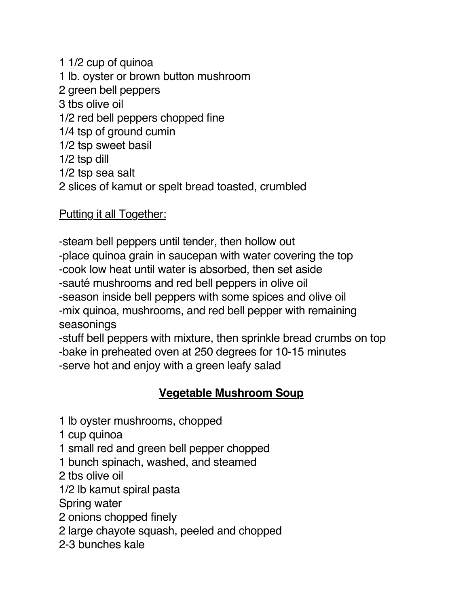1 1/2 cup of quinoa 1 lb. oyster or brown button mushroom 2 green bell peppers 3 tbs olive oil 1/2 red bell peppers chopped fine 1/4 tsp of ground cumin 1/2 tsp sweet basil 1/2 tsp dill 1/2 tsp sea salt 2 slices of kamut or spelt bread toasted, crumbled

Putting it all Together:

-steam bell peppers until tender, then hollow out -place quinoa grain in saucepan with water covering the top -cook low heat until water is absorbed, then set aside -sauté mushrooms and red bell peppers in olive oil -season inside bell peppers with some spices and olive oil -mix quinoa, mushrooms, and red bell pepper with remaining seasonings

-stuff bell peppers with mixture, then sprinkle bread crumbs on top -bake in preheated oven at 250 degrees for 10-15 minutes -serve hot and enjoy with a green leafy salad

## **Vegetable Mushroom Soup**

1 lb oyster mushrooms, chopped

1 cup quinoa

1 small red and green bell pepper chopped

1 bunch spinach, washed, and steamed

2 tbs olive oil

1/2 lb kamut spiral pasta

Spring water

2 onions chopped finely

2 large chayote squash, peeled and chopped

2-3 bunches kale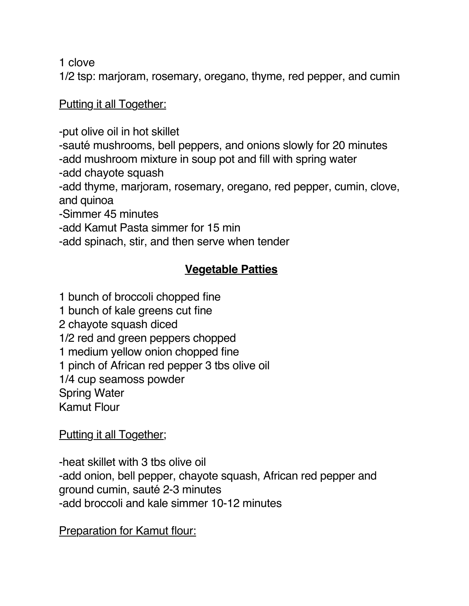1 clove

1/2 tsp: marjoram, rosemary, oregano, thyme, red pepper, and cumin

## Putting it all Together:

-put olive oil in hot skillet

-sauté mushrooms, bell peppers, and onions slowly for 20 minutes -add mushroom mixture in soup pot and fill with spring water

-add chayote squash

-add thyme, marjoram, rosemary, oregano, red pepper, cumin, clove, and quinoa

-Simmer 45 minutes

-add Kamut Pasta simmer for 15 min

-add spinach, stir, and then serve when tender

# **Vegetable Patties**

1 bunch of broccoli chopped fine

1 bunch of kale greens cut fine

2 chayote squash diced

1/2 red and green peppers chopped

1 medium yellow onion chopped fine

1 pinch of African red pepper 3 tbs olive oil

1/4 cup seamoss powder

Spring Water

Kamut Flour

Putting it all Together;

-heat skillet with 3 tbs olive oil -add onion, bell pepper, chayote squash, African red pepper and ground cumin, sauté 2-3 minutes -add broccoli and kale simmer 10-12 minutes

**Preparation for Kamut flour:**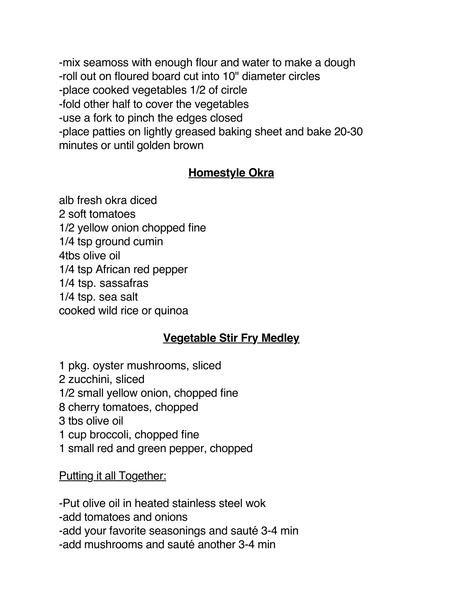-mix seamoss with enough flour and water to make a dough -roll out on floured board cut into 10" diameter circles -place cooked vegetables 1/2 of circle -fold other half to cover the vegetables -use a fork to pinch the edges closed -place patties on lightly greased baking sheet and bake 20-30 minutes or until golden brown

## **Homestyle Okra**

alb fresh okra diced 2 soft tomatoes 1/2 yellow onion chopped fine 1/4 tsp ground cumin 4tbs olive oil 1/4 tsp African red pepper 1/4 tsp. sassafras 1/4 tsp. sea salt cooked wild rice or quinoa

## **Vegetable Stir Fry Medley**

1 pkg. oyster mushrooms, sliced 2 zucchini, sliced 1/2 small yellow onion, chopped fine 8 cherry tomatoes, chopped 3 tbs olive oil 1 cup broccoli, chopped fine 1 small red and green pepper, chopped

Putting it all Together:

-Put olive oil in heated stainless steel wok

-add tomatoes and onions

-add your favorite seasonings and sauté 3-4 min

-add mushrooms and sauté another 3-4 min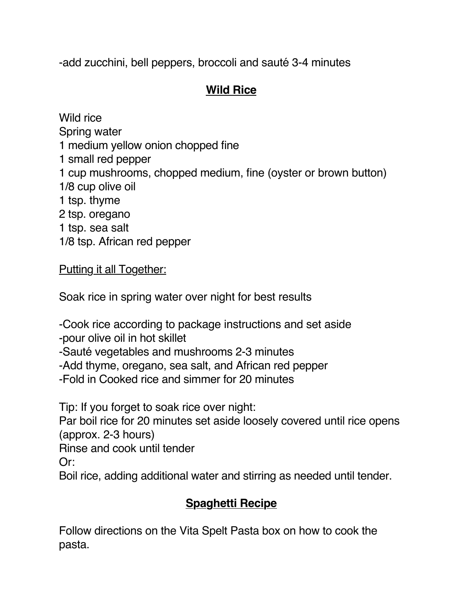-add zucchini, bell peppers, broccoli and sauté 3-4 minutes

# **Wild Rice**

Wild rice Spring water 1 medium yellow onion chopped fine 1 small red pepper 1 cup mushrooms, chopped medium, fine (oyster or brown button) 1/8 cup olive oil 1 tsp. thyme 2 tsp. oregano 1 tsp. sea salt 1/8 tsp. African red pepper

# Putting it all Together:

Soak rice in spring water over night for best results

-Cook rice according to package instructions and set aside -pour olive oil in hot skillet

-Sauté vegetables and mushrooms 2-3 minutes

-Add thyme, oregano, sea salt, and African red pepper

-Fold in Cooked rice and simmer for 20 minutes

Tip: If you forget to soak rice over night:

Par boil rice for 20 minutes set aside loosely covered until rice opens (approx. 2-3 hours)

Rinse and cook until tender

Or:

Boil rice, adding additional water and stirring as needed until tender.

# **Spaghetti Recipe**

Follow directions on the Vita Spelt Pasta box on how to cook the pasta.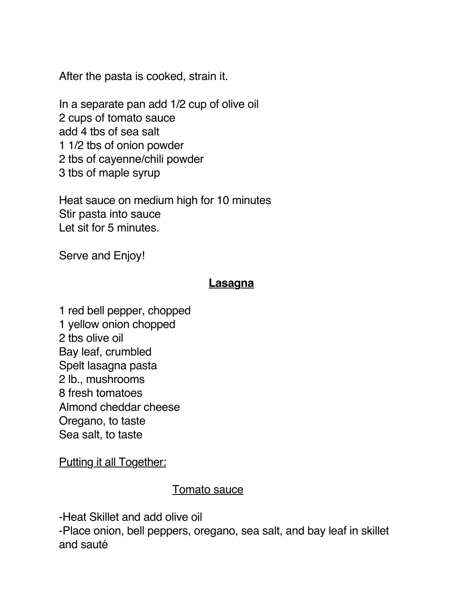After the pasta is cooked, strain it.

In a separate pan add 1/2 cup of olive oil 2 cups of tomato sauce add 4 tbs of sea salt 1 1/2 tbs of onion powder 2 tbs of cayenne/chili powder 3 tbs of maple syrup

Heat sauce on medium high for 10 minutes Stir pasta into sauce Let sit for 5 minutes.

Serve and Enjoy!

#### **Lasagna**

1 red bell pepper, chopped 1 yellow onion chopped 2 tbs olive oil Bay leaf, crumbled Spelt lasagna pasta 2 lb., mushrooms 8 fresh tomatoes Almond cheddar cheese Oregano, to taste Sea salt, to taste

Putting it all Together:

#### Tomato sauce

-Heat Skillet and add olive oil

-Place onion, bell peppers, oregano, sea salt, and bay leaf in skillet and sauté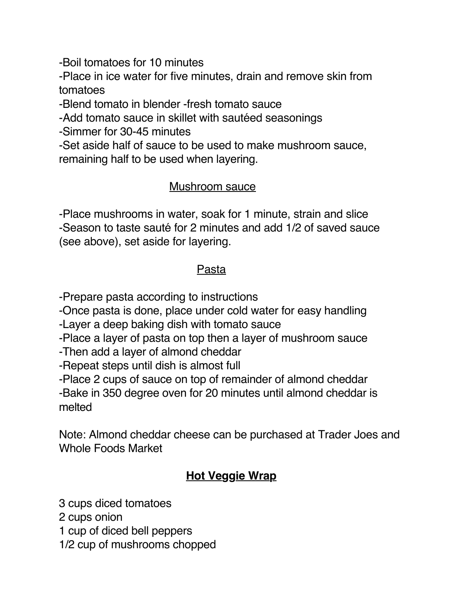-Boil tomatoes for 10 minutes

-Place in ice water for five minutes, drain and remove skin from tomatoes

-Blend tomato in blender -fresh tomato sauce

-Add tomato sauce in skillet with sautéed seasonings

-Simmer for 30-45 minutes

-Set aside half of sauce to be used to make mushroom sauce, remaining half to be used when layering.

#### Mushroom sauce

-Place mushrooms in water, soak for 1 minute, strain and slice -Season to taste sauté for 2 minutes and add 1/2 of saved sauce (see above), set aside for layering.

#### Pasta

-Prepare pasta according to instructions

-Once pasta is done, place under cold water for easy handling

-Layer a deep baking dish with tomato sauce

-Place a layer of pasta on top then a layer of mushroom sauce

-Then add a layer of almond cheddar

-Repeat steps until dish is almost full

-Place 2 cups of sauce on top of remainder of almond cheddar

-Bake in 350 degree oven for 20 minutes until almond cheddar is melted

Note: Almond cheddar cheese can be purchased at Trader Joes and Whole Foods Market

# **Hot Veggie Wrap**

3 cups diced tomatoes

2 cups onion

1 cup of diced bell peppers

1/2 cup of mushrooms chopped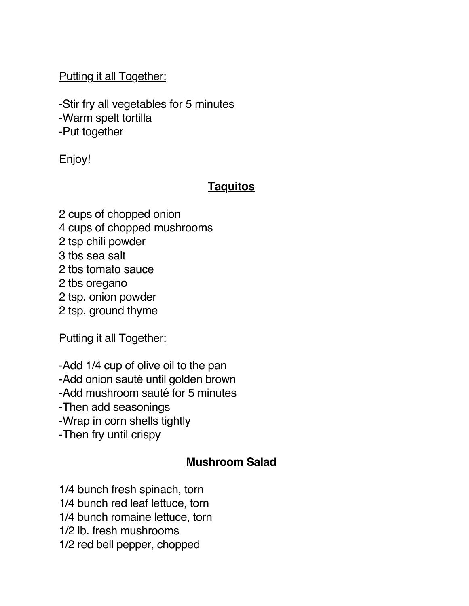Putting it all Together:

-Stir fry all vegetables for 5 minutes -Warm spelt tortilla -Put together

Enjoy!

## **Taquitos**

2 cups of chopped onion 4 cups of chopped mushrooms 2 tsp chili powder 3 tbs sea salt 2 tbs tomato sauce 2 tbs oregano 2 tsp. onion powder 2 tsp. ground thyme

Putting it all Together:

-Add 1/4 cup of olive oil to the pan -Add onion sauté until golden brown -Add mushroom sauté for 5 minutes -Then add seasonings -Wrap in corn shells tightly -Then fry until crispy

#### **Mushroom Salad**

- 1/4 bunch fresh spinach, torn
- 1/4 bunch red leaf lettuce, torn
- 1/4 bunch romaine lettuce, torn
- 1/2 lb. fresh mushrooms
- 1/2 red bell pepper, chopped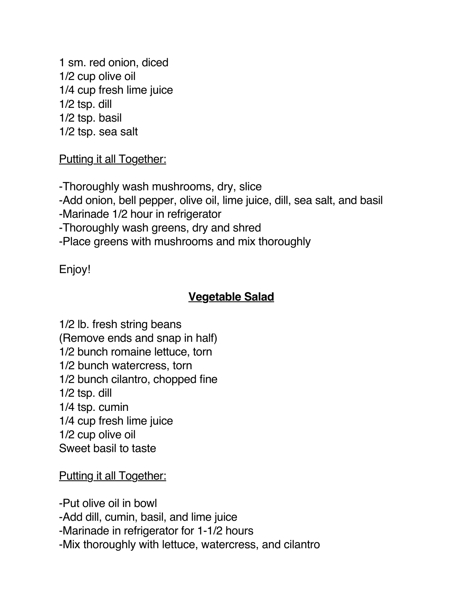1 sm. red onion, diced 1/2 cup olive oil 1/4 cup fresh lime juice 1/2 tsp. dill 1/2 tsp. basil 1/2 tsp. sea salt

Putting it all Together:

-Thoroughly wash mushrooms, dry, slice -Add onion, bell pepper, olive oil, lime juice, dill, sea salt, and basil -Marinade 1/2 hour in refrigerator -Thoroughly wash greens, dry and shred

-Place greens with mushrooms and mix thoroughly

Enjoy!

## **Vegetable Salad**

1/2 lb. fresh string beans (Remove ends and snap in half) 1/2 bunch romaine lettuce, torn 1/2 bunch watercress, torn 1/2 bunch cilantro, chopped fine 1/2 tsp. dill 1/4 tsp. cumin 1/4 cup fresh lime juice 1/2 cup olive oil Sweet basil to taste

Putting it all Together:

-Put olive oil in bowl -Add dill, cumin, basil, and lime juice -Marinade in refrigerator for 1-1/2 hours -Mix thoroughly with lettuce, watercress, and cilantro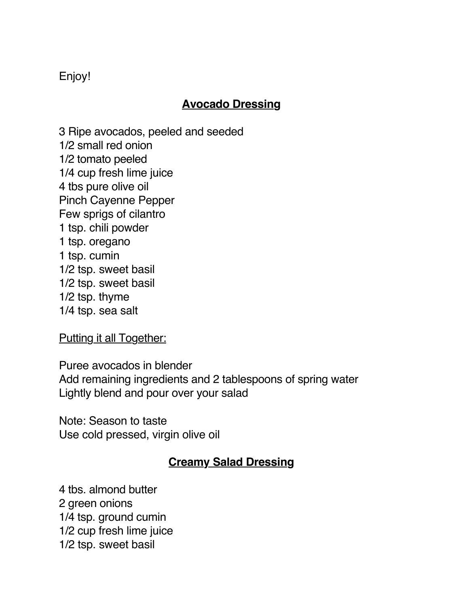Enjoy!

#### **Avocado Dressing**

3 Ripe avocados, peeled and seeded 1/2 small red onion 1/2 tomato peeled 1/4 cup fresh lime juice 4 tbs pure olive oil Pinch Cayenne Pepper Few sprigs of cilantro 1 tsp. chili powder 1 tsp. oregano 1 tsp. cumin 1/2 tsp. sweet basil 1/2 tsp. sweet basil 1/2 tsp. thyme 1/4 tsp. sea salt

Putting it all Together:

Puree avocados in blender Add remaining ingredients and 2 tablespoons of spring water Lightly blend and pour over your salad

Note: Season to taste Use cold pressed, virgin olive oil

## **Creamy Salad Dressing**

4 tbs. almond butter 2 green onions 1/4 tsp. ground cumin 1/2 cup fresh lime juice 1/2 tsp. sweet basil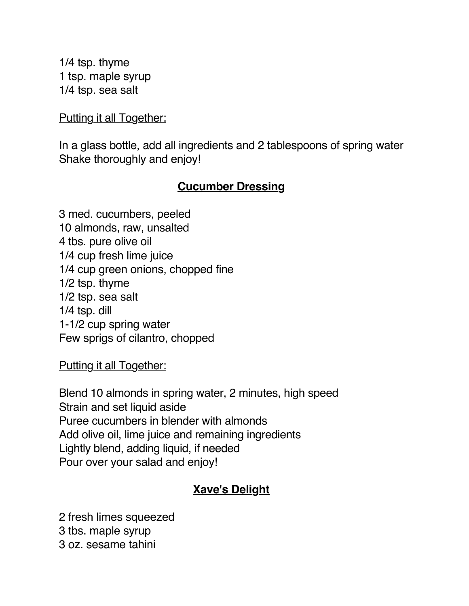1/4 tsp. thyme 1 tsp. maple syrup 1/4 tsp. sea salt

#### Putting it all Together:

In a glass bottle, add all ingredients and 2 tablespoons of spring water Shake thoroughly and enjoy!

#### **Cucumber Dressing**

3 med. cucumbers, peeled 10 almonds, raw, unsalted 4 tbs. pure olive oil 1/4 cup fresh lime juice 1/4 cup green onions, chopped fine 1/2 tsp. thyme 1/2 tsp. sea salt 1/4 tsp. dill 1-1/2 cup spring water Few sprigs of cilantro, chopped

Putting it all Together:

Blend 10 almonds in spring water, 2 minutes, high speed Strain and set liquid aside Puree cucumbers in blender with almonds Add olive oil, lime juice and remaining ingredients Lightly blend, adding liquid, if needed Pour over your salad and enjoy!

## **Xave's Delight**

2 fresh limes squeezed 3 tbs. maple syrup 3 oz. sesame tahini